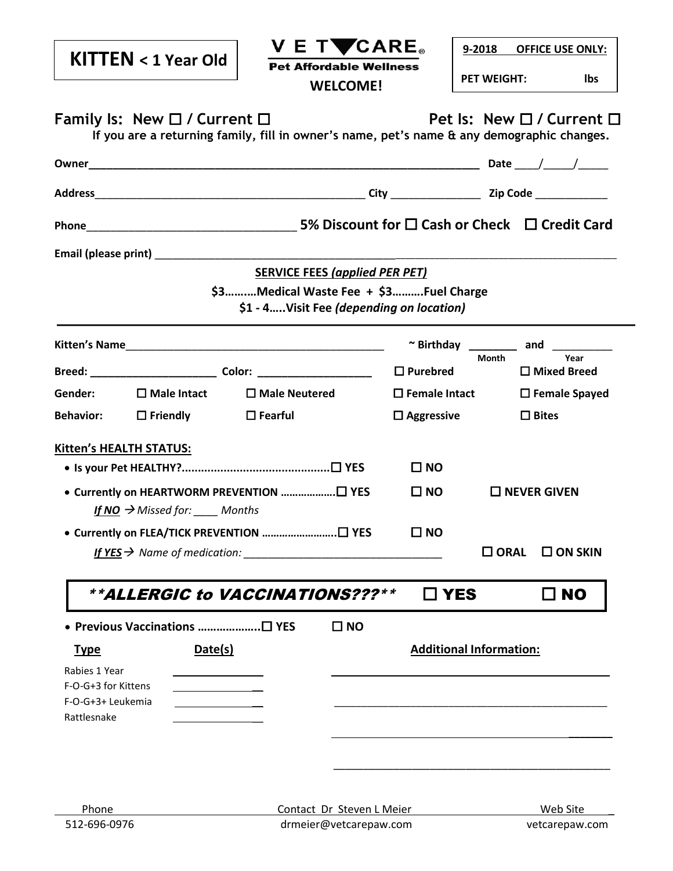|                                          | $KITTEN < 1$ Year Old                  | V E TVCARE。<br><b>Pet Affordable Wellness</b><br><b>WELCOME!</b>                      |                         | 9-2018 OFFICE USE ONLY:<br><b>PET WEIGHT:</b><br>Ibs                                                                    |
|------------------------------------------|----------------------------------------|---------------------------------------------------------------------------------------|-------------------------|-------------------------------------------------------------------------------------------------------------------------|
|                                          | Family Is: New $\Box$ / Current $\Box$ |                                                                                       |                         | Pet Is: New □ / Current □<br>If you are a returning family, fill in owner's name, pet's name & any demographic changes. |
|                                          |                                        |                                                                                       |                         |                                                                                                                         |
|                                          |                                        |                                                                                       |                         |                                                                                                                         |
|                                          |                                        |                                                                                       |                         |                                                                                                                         |
|                                          |                                        |                                                                                       |                         |                                                                                                                         |
|                                          |                                        | <b>SERVICE FEES (applied PER PET)</b>                                                 |                         |                                                                                                                         |
|                                          |                                        | \$3Medical Waste Fee + \$3Fuel Charge<br>\$1 - 4 Visit Fee (depending on location)    |                         |                                                                                                                         |
|                                          |                                        |                                                                                       |                         | $\sim$ Birthday ________ and ________<br>Year                                                                           |
|                                          |                                        |                                                                                       | $\Box$ Purebred         | <b>Month</b><br>$\Box$ Mixed Breed                                                                                      |
| Gender:                                  | $\square$ Male Intact                  | $\Box$ Male Neutered                                                                  | $\square$ Female Intact | $\Box$ Female Spayed                                                                                                    |
| <b>Behavior:</b>                         | $\square$ Friendly                     | $\Box$ Fearful                                                                        | $\Box$ Aggressive       | $\Box$ Bites                                                                                                            |
| <b>Kitten's HEALTH STATUS:</b>           |                                        |                                                                                       |                         |                                                                                                                         |
|                                          |                                        | $\square$ NO                                                                          |                         |                                                                                                                         |
|                                          | If NO $\rightarrow$ Missed for: Months |                                                                                       | $\square$ NO            | $\Box$ NEVER GIVEN                                                                                                      |
|                                          |                                        | • Currently on FLEA/TICK PREVENTION □ YES<br>If $YES \rightarrow$ Name of medication: | $\square$ NO            | $\square$ ORAL<br>$\square$ ON SKIN                                                                                     |
|                                          |                                        | <i><b>**ALLERGIC to VACCINATIONS???**</b></i>                                         | $\square$ YES           | $\square$ NO                                                                                                            |
|                                          | • Previous Vaccinations □ YES          | $\square$ NO                                                                          |                         |                                                                                                                         |
| <u>Type</u>                              | Date(s)                                |                                                                                       |                         | <b>Additional Information:</b>                                                                                          |
| Rabies 1 Year                            |                                        |                                                                                       |                         |                                                                                                                         |
| F-O-G+3 for Kittens<br>F-O-G+3+ Leukemia |                                        |                                                                                       |                         |                                                                                                                         |
| Rattlesnake                              |                                        |                                                                                       |                         |                                                                                                                         |
|                                          |                                        |                                                                                       |                         |                                                                                                                         |
|                                          |                                        |                                                                                       |                         |                                                                                                                         |
|                                          |                                        |                                                                                       |                         |                                                                                                                         |
| Phone                                    |                                        | Contact Dr Steven L Meier                                                             |                         | Web Site                                                                                                                |